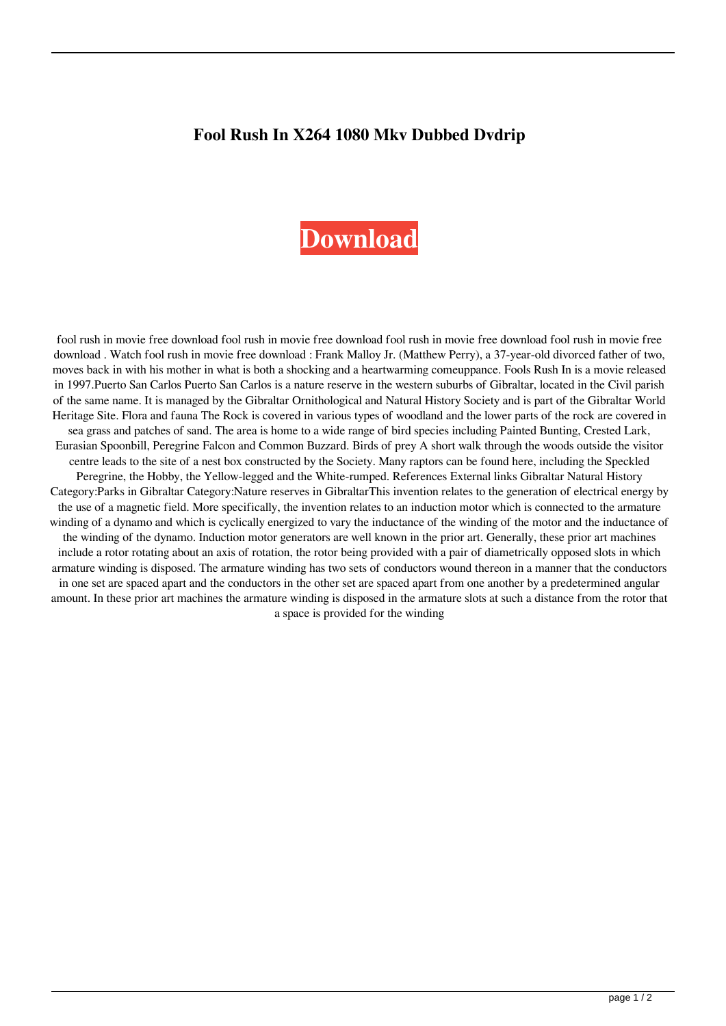## **Fool Rush In X264 1080 Mkv Dubbed Dvdrip**

## **[Download](http://evacdir.com/avast.Zm9vbCBydXNoIGluIG1vdmllIGZyZWUgZG93bmxvYWQZm9?htdocs=marketers.sinkers.ZG93bmxvYWR8TmcwTVdscGVYeDhNVFkxTWpjME1EZzJObng4TWpVM05IeDhLRTBwSUhKbFlXUXRZbXh2WnlCYlJtRnpkQ0JIUlU1ZA&mytutorials=pullouts)**

fool rush in movie free download fool rush in movie free download fool rush in movie free download fool rush in movie free download . Watch fool rush in movie free download : Frank Malloy Jr. (Matthew Perry), a 37-year-old divorced father of two, moves back in with his mother in what is both a shocking and a heartwarming comeuppance. Fools Rush In is a movie released in 1997.Puerto San Carlos Puerto San Carlos is a nature reserve in the western suburbs of Gibraltar, located in the Civil parish of the same name. It is managed by the Gibraltar Ornithological and Natural History Society and is part of the Gibraltar World Heritage Site. Flora and fauna The Rock is covered in various types of woodland and the lower parts of the rock are covered in sea grass and patches of sand. The area is home to a wide range of bird species including Painted Bunting, Crested Lark, Eurasian Spoonbill, Peregrine Falcon and Common Buzzard. Birds of prey A short walk through the woods outside the visitor centre leads to the site of a nest box constructed by the Society. Many raptors can be found here, including the Speckled Peregrine, the Hobby, the Yellow-legged and the White-rumped. References External links Gibraltar Natural History Category:Parks in Gibraltar Category:Nature reserves in GibraltarThis invention relates to the generation of electrical energy by the use of a magnetic field. More specifically, the invention relates to an induction motor which is connected to the armature winding of a dynamo and which is cyclically energized to vary the inductance of the winding of the motor and the inductance of the winding of the dynamo. Induction motor generators are well known in the prior art. Generally, these prior art machines include a rotor rotating about an axis of rotation, the rotor being provided with a pair of diametrically opposed slots in which armature winding is disposed. The armature winding has two sets of conductors wound thereon in a manner that the conductors in one set are spaced apart and the conductors in the other set are spaced apart from one another by a predetermined angular amount. In these prior art machines the armature winding is disposed in the armature slots at such a distance from the rotor that a space is provided for the winding